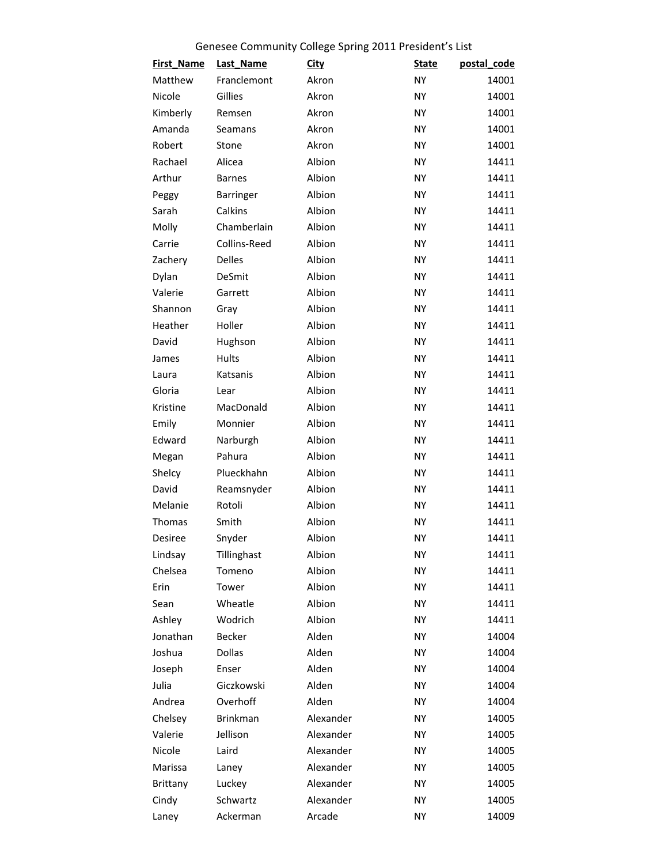## Genesee Community College Spring 2011 President's List

| <b>First_Name</b> | Last_Name       | <b>City</b> | <b>State</b> | postal_code |
|-------------------|-----------------|-------------|--------------|-------------|
| Matthew           | Franclemont     | Akron       | <b>NY</b>    | 14001       |
| Nicole            | Gillies         | Akron       | NY           | 14001       |
| Kimberly          | Remsen          | Akron       | <b>NY</b>    | 14001       |
| Amanda            | Seamans         | Akron       | NY           | 14001       |
| Robert            | Stone           | Akron       | NY           | 14001       |
| Rachael           | Alicea          | Albion      | <b>NY</b>    | 14411       |
| Arthur            | <b>Barnes</b>   | Albion      | <b>NY</b>    | 14411       |
| Peggy             | Barringer       | Albion      | <b>NY</b>    | 14411       |
| Sarah             | Calkins         | Albion      | NY           | 14411       |
| Molly             | Chamberlain     | Albion      | <b>NY</b>    | 14411       |
| Carrie            | Collins-Reed    | Albion      | <b>NY</b>    | 14411       |
| Zachery           | Delles          | Albion      | <b>NY</b>    | 14411       |
| Dylan             | DeSmit          | Albion      | NY           | 14411       |
| Valerie           | Garrett         | Albion      | <b>NY</b>    | 14411       |
| Shannon           | Gray            | Albion      | <b>NY</b>    | 14411       |
| Heather           | Holler          | Albion      | NY           | 14411       |
| David             | Hughson         | Albion      | NY           | 14411       |
| James             | Hults           | Albion      | <b>NY</b>    | 14411       |
| Laura             | Katsanis        | Albion      | <b>NY</b>    | 14411       |
| Gloria            | Lear            | Albion      | NY           | 14411       |
| Kristine          | MacDonald       | Albion      | NY           | 14411       |
| Emily             | Monnier         | Albion      | NY           | 14411       |
| Edward            | Narburgh        | Albion      | <b>NY</b>    | 14411       |
| Megan             | Pahura          | Albion      | NY           | 14411       |
| Shelcy            | Plueckhahn      | Albion      | NY           | 14411       |
| David             | Reamsnyder      | Albion      | NY           | 14411       |
| Melanie           | Rotoli          | Albion      | NY           | 14411       |
| Thomas            | Smith           | Albion      | NY           | 14411       |
| Desiree           | Snyder          | Albion      | NY           | 14411       |
| Lindsay           | Tillinghast     | Albion      | NY           | 14411       |
| Chelsea           | Tomeno          | Albion      | <b>NY</b>    | 14411       |
| Erin              | Tower           | Albion      | <b>NY</b>    | 14411       |
| Sean              | Wheatle         | Albion      | NY           | 14411       |
| Ashley            | Wodrich         | Albion      | NY           | 14411       |
| Jonathan          | <b>Becker</b>   | Alden       | NY           | 14004       |
| Joshua            | <b>Dollas</b>   | Alden       | NY           | 14004       |
| Joseph            | Enser           | Alden       | <b>NY</b>    | 14004       |
| Julia             | Giczkowski      | Alden       | NY           | 14004       |
| Andrea            | Overhoff        | Alden       | NY           | 14004       |
| Chelsey           | <b>Brinkman</b> | Alexander   | <b>NY</b>    | 14005       |
| Valerie           | Jellison        | Alexander   | NY           | 14005       |
| Nicole            | Laird           | Alexander   | NY           | 14005       |
| Marissa           | Laney           | Alexander   | <b>NY</b>    | 14005       |
| Brittany          | Luckey          | Alexander   | <b>NY</b>    | 14005       |
| Cindy             | Schwartz        | Alexander   | <b>NY</b>    | 14005       |
| Laney             | Ackerman        | Arcade      | NY           | 14009       |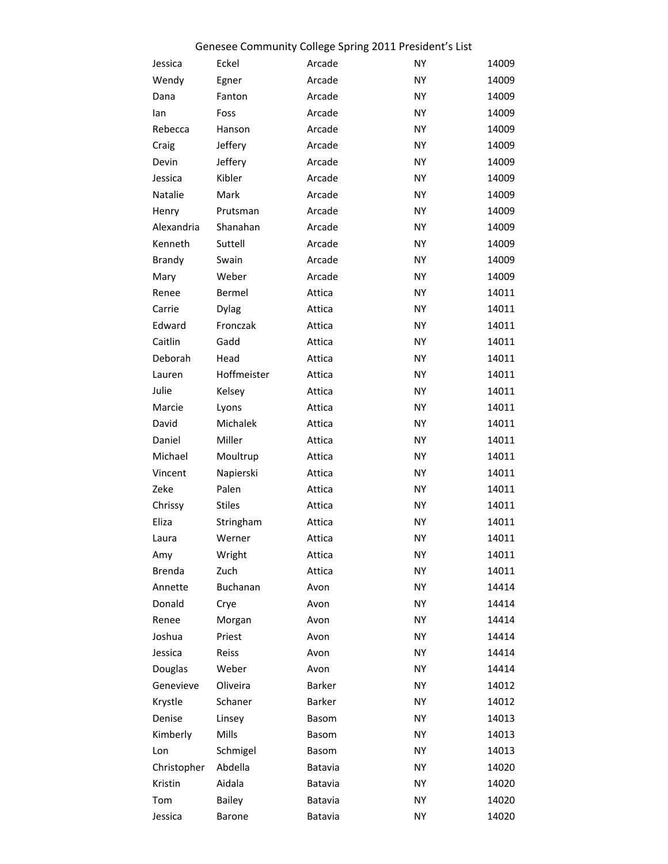|               |               | Genesee Community College Spring 2011 President's List |           |       |
|---------------|---------------|--------------------------------------------------------|-----------|-------|
| Jessica       | Eckel         | Arcade                                                 | NY        | 14009 |
| Wendy         | Egner         | Arcade                                                 | <b>NY</b> | 14009 |
| Dana          | Fanton        | Arcade                                                 | NY        | 14009 |
| lan           | Foss          | Arcade                                                 | NY        | 14009 |
| Rebecca       | Hanson        | Arcade                                                 | NY        | 14009 |
| Craig         | Jeffery       | Arcade                                                 | NY        | 14009 |
| Devin         | Jeffery       | Arcade                                                 | NY        | 14009 |
| Jessica       | Kibler        | Arcade                                                 | <b>NY</b> | 14009 |
| Natalie       | Mark          | Arcade                                                 | NY        | 14009 |
| Henry         | Prutsman      | Arcade                                                 | NY        | 14009 |
| Alexandria    | Shanahan      | Arcade                                                 | <b>NY</b> | 14009 |
| Kenneth       | Suttell       | Arcade                                                 | <b>NY</b> | 14009 |
| Brandy        | Swain         | Arcade                                                 | NY        | 14009 |
| Mary          | Weber         | Arcade                                                 | NY        | 14009 |
| Renee         | Bermel        | Attica                                                 | <b>NY</b> | 14011 |
| Carrie        | <b>Dylag</b>  | Attica                                                 | <b>NY</b> | 14011 |
| Edward        | Fronczak      | Attica                                                 | NY        | 14011 |
| Caitlin       | Gadd          | Attica                                                 | ΝY        | 14011 |
| Deborah       | Head          | Attica                                                 | <b>NY</b> | 14011 |
| Lauren        | Hoffmeister   | Attica                                                 | <b>NY</b> | 14011 |
| Julie         | Kelsey        | Attica                                                 | NY        | 14011 |
| Marcie        | Lyons         | Attica                                                 | ΝY        | 14011 |
| David         | Michalek      | Attica                                                 | <b>NY</b> | 14011 |
| Daniel        | Miller        | Attica                                                 | NY        | 14011 |
| Michael       | Moultrup      | Attica                                                 | NY        | 14011 |
| Vincent       | Napierski     | Attica                                                 | NY        | 14011 |
| Zeke          | Palen         | Attica                                                 | <b>NY</b> | 14011 |
| Chrissy       | <b>Stiles</b> | Attica                                                 | <b>NY</b> | 14011 |
| Eliza         | Stringham     | Attica                                                 | NY        | 14011 |
| Laura         | Werner        | Attica                                                 | NY        | 14011 |
| Amy           | Wright        | Attica                                                 | <b>NY</b> | 14011 |
| <b>Brenda</b> | Zuch          | Attica                                                 | <b>NY</b> | 14011 |
| Annette       | Buchanan      | Avon                                                   | NY        | 14414 |
| Donald        | Crye          | Avon                                                   | <b>NY</b> | 14414 |
| Renee         | Morgan        | Avon                                                   | NY        | 14414 |
| Joshua        | Priest        | Avon                                                   | <b>NY</b> | 14414 |
| Jessica       | Reiss         | Avon                                                   | NY        | 14414 |
| Douglas       | Weber         | Avon                                                   | <b>NY</b> | 14414 |
| Genevieve     | Oliveira      | Barker                                                 | NY        | 14012 |
| Krystle       | Schaner       | Barker                                                 | <b>NY</b> | 14012 |
| Denise        | Linsey        | Basom                                                  | <b>NY</b> | 14013 |
| Kimberly      | Mills         | Basom                                                  | <b>NY</b> | 14013 |
| Lon           | Schmigel      | Basom                                                  | NY        | 14013 |
| Christopher   | Abdella       | Batavia                                                | ΝY        | 14020 |
| Kristin       | Aidala        | Batavia                                                | <b>NY</b> | 14020 |
| Tom           | <b>Bailey</b> | Batavia                                                | <b>NY</b> | 14020 |
| Jessica       | Barone        | Batavia                                                | NY        | 14020 |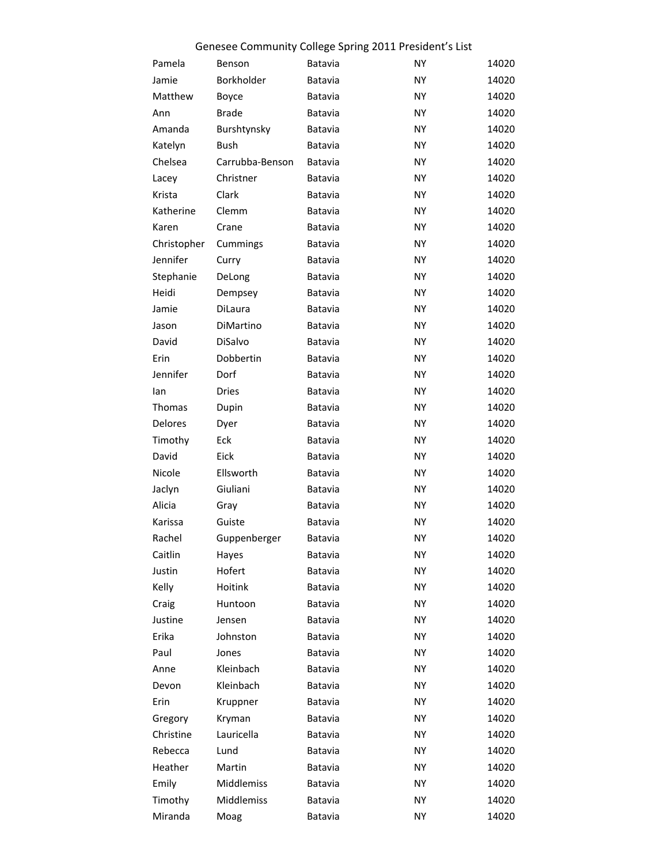|             |                 | Genesee Community College Spring 2011 President's List |           |       |
|-------------|-----------------|--------------------------------------------------------|-----------|-------|
| Pamela      | Benson          | Batavia                                                | NY        | 14020 |
| Jamie       | Borkholder      | Batavia                                                | NY        | 14020 |
| Matthew     | Boyce           | Batavia                                                | NY.       | 14020 |
| Ann         | <b>Brade</b>    | Batavia                                                | NY        | 14020 |
| Amanda      | Burshtynsky     | Batavia                                                | ΝY        | 14020 |
| Katelyn     | Bush            | Batavia                                                | NY        | 14020 |
| Chelsea     | Carrubba-Benson | Batavia                                                | NY.       | 14020 |
| Lacey       | Christner       | Batavia                                                | NY        | 14020 |
| Krista      | Clark           | Batavia                                                | ΝY        | 14020 |
| Katherine   | Clemm           | Batavia                                                | NY        | 14020 |
| Karen       | Crane           | Batavia                                                | NY.       | 14020 |
| Christopher | Cummings        | Batavia                                                | NY        | 14020 |
| Jennifer    | Curry           | Batavia                                                | ΝY        | 14020 |
| Stephanie   | DeLong          | Batavia                                                | NY        | 14020 |
| Heidi       | Dempsey         | Batavia                                                | NY.       | 14020 |
| Jamie       | DiLaura         | Batavia                                                | NY        | 14020 |
| Jason       | DiMartino       | Batavia                                                | ΝY        | 14020 |
| David       | DiSalvo         | Batavia                                                | NY        | 14020 |
| Erin        | Dobbertin       | Batavia                                                | NY.       | 14020 |
| Jennifer    | Dorf            | Batavia                                                | NY        | 14020 |
| lan         | Dries           | Batavia                                                | ΝY        | 14020 |
| Thomas      |                 |                                                        | NY        | 14020 |
| Delores     | Dupin           | Batavia                                                | NY.       | 14020 |
|             | Dyer            | Batavia                                                |           |       |
| Timothy     | Eck             | Batavia                                                | <b>NY</b> | 14020 |
| David       | Eick            | Batavia                                                | ΝY        | 14020 |
| Nicole      | Ellsworth       | Batavia                                                | <b>NY</b> | 14020 |
| Jaclyn      | Giuliani        | Batavia                                                | ΝY        | 14020 |
| Alicia      | Gray            | Batavia                                                | <b>NY</b> | 14020 |
| Karissa     | Guiste          | Batavia                                                | <b>NY</b> | 14020 |
| Rachel      | Guppenberger    | Batavia                                                | ΝY        | 14020 |
| Caitlin     | Hayes           | Batavia                                                | <b>NY</b> | 14020 |
| Justin      | Hofert          | Batavia                                                | NY        | 14020 |
| Kelly       | Hoitink         | Batavia                                                | ΝY        | 14020 |
| Craig       | Huntoon         | Batavia                                                | NY        | 14020 |
| Justine     | Jensen          | Batavia                                                | NY        | 14020 |
| Erika       | Johnston        | Batavia                                                | ΝY        | 14020 |
| Paul        | Jones           | Batavia                                                | NY        | 14020 |
| Anne        | Kleinbach       | Batavia                                                | NY        | 14020 |
| Devon       | Kleinbach       | Batavia                                                | NY        | 14020 |
| Erin        | Kruppner        | Batavia                                                | NY        | 14020 |
| Gregory     | Kryman          | Batavia                                                | NY        | 14020 |
| Christine   | Lauricella      | Batavia                                                | NY        | 14020 |
| Rebecca     | Lund            | Batavia                                                | NY        | 14020 |
| Heather     | Martin          | Batavia                                                | NY        | 14020 |
| Emily       | Middlemiss      | Batavia                                                | ΝY        | 14020 |
| Timothy     | Middlemiss      | Batavia                                                | <b>NY</b> | 14020 |
| Miranda     | Moag            | Batavia                                                | <b>NY</b> | 14020 |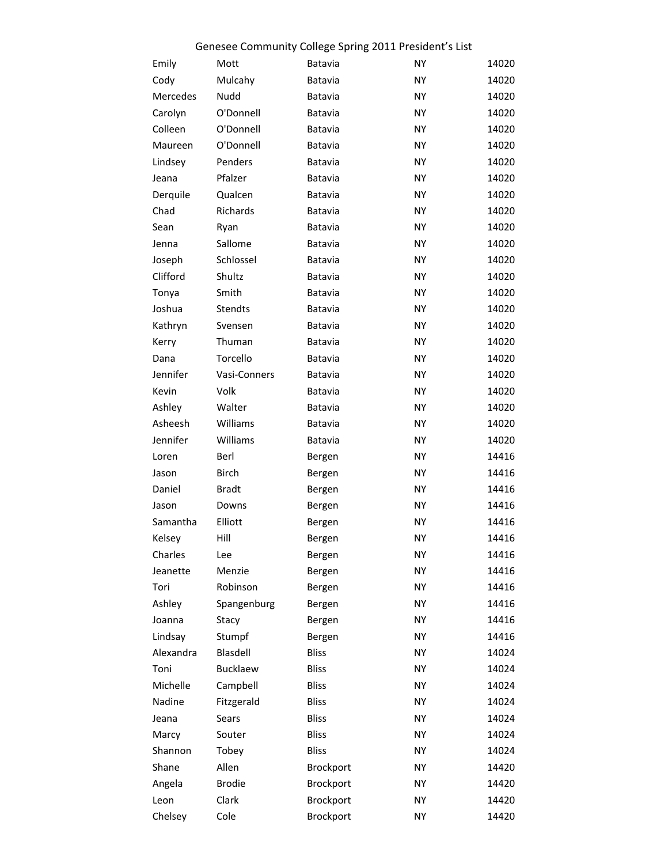|                    |               | Genesee Community College Spring 2011 President's List |           |                |
|--------------------|---------------|--------------------------------------------------------|-----------|----------------|
| Emily              | Mott          | Batavia                                                | NY        | 14020          |
| Cody               | Mulcahy       | Batavia                                                | <b>NY</b> | 14020          |
| Mercedes           | Nudd          | Batavia                                                | NY.       | 14020          |
| Carolyn            | O'Donnell     | Batavia                                                | <b>NY</b> | 14020          |
| Colleen            | O'Donnell     | Batavia                                                | ΝY        | 14020          |
| Maureen            | O'Donnell     | Batavia                                                | NY        | 14020          |
| Lindsey            | Penders       | Batavia                                                | ΝY        | 14020          |
| Jeana              | Pfalzer       | Batavia                                                | NY        | 14020          |
| Derquile           | Qualcen       | Batavia                                                | ΝY        | 14020          |
| Chad               | Richards      | Batavia                                                | NY        | 14020          |
| Sean               | Ryan          | Batavia                                                | ΝY        | 14020          |
| Jenna              | Sallome       | Batavia                                                | NY        | 14020          |
| Joseph             | Schlossel     | Batavia                                                | ΝY        | 14020          |
| Clifford           | Shultz        | Batavia                                                | NY        | 14020          |
| Tonya              | Smith         | Batavia                                                | ΝY        | 14020          |
| Joshua             | Stendts       | Batavia                                                | NY        | 14020          |
| Kathryn            | Svensen       | Batavia                                                | ΝY        | 14020          |
| Kerry              | Thuman        | Batavia                                                | NY        | 14020          |
| Dana               | Torcello      | Batavia                                                | ΝY        | 14020          |
| Jennifer           | Vasi-Conners  | Batavia                                                | NY        | 14020          |
| Kevin              | Volk          | Batavia                                                | ΝY        | 14020          |
| Ashley             | Walter        | Batavia                                                | NY        | 14020          |
| Asheesh            | Williams      | Batavia                                                | ΝY        | 14020          |
| Jennifer           | Williams      | Batavia                                                | NY        | 14020          |
| Loren              | Berl          | Bergen                                                 | ΝY        | 14416          |
| Jason              | Birch         | Bergen                                                 | NY        | 14416          |
| Daniel             | <b>Bradt</b>  | Bergen                                                 | ΝY        | 14416          |
| Jason              | Downs         |                                                        | <b>NY</b> | 14416          |
|                    | Elliott       | Bergen                                                 | NY        |                |
| Samantha<br>Kelsey | Hill          | Bergen                                                 | NY        | 14416<br>14416 |
|                    |               | Bergen                                                 |           |                |
| Charles            | Lee           | Bergen                                                 | NY        | 14416          |
| Jeanette           | Menzie        | Bergen                                                 | <b>NY</b> | 14416          |
| Tori               | Robinson      | Bergen                                                 | NY        | 14416          |
| Ashley             | Spangenburg   | Bergen                                                 | NY        | 14416          |
| Joanna             | Stacy         | Bergen                                                 | NY        | 14416          |
| Lindsay            | Stumpf        | Bergen                                                 | NY        | 14416          |
| Alexandra          | Blasdell      | <b>Bliss</b>                                           | NY        | 14024          |
| Toni               | Bucklaew      | <b>Bliss</b>                                           | <b>NY</b> | 14024          |
| Michelle           | Campbell      | <b>Bliss</b>                                           | NY        | 14024          |
| Nadine             | Fitzgerald    | <b>Bliss</b>                                           | <b>NY</b> | 14024          |
| Jeana              | Sears         | <b>Bliss</b>                                           | NY        | 14024          |
| Marcy              | Souter        | <b>Bliss</b>                                           | <b>NY</b> | 14024          |
| Shannon            | Tobey         | <b>Bliss</b>                                           | NY        | 14024          |
| Shane              | Allen         | Brockport                                              | NY        | 14420          |
| Angela             | <b>Brodie</b> | Brockport                                              | NY        | 14420          |
| Leon               | Clark         | Brockport                                              | NΥ        | 14420          |
| Chelsey            | Cole          | Brockport                                              | NY        | 14420          |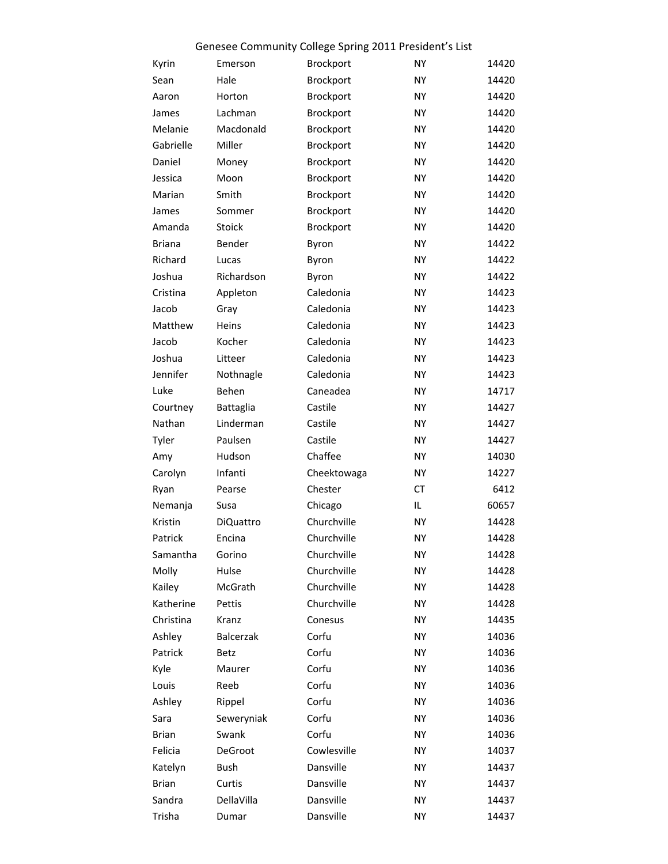|               |                  | Genesee Community College Spring 2011 President's List |           |       |
|---------------|------------------|--------------------------------------------------------|-----------|-------|
| Kyrin         | Emerson          | Brockport                                              | <b>NY</b> | 14420 |
| Sean          | Hale             | Brockport                                              | <b>NY</b> | 14420 |
| Aaron         | Horton           | Brockport                                              | <b>NY</b> | 14420 |
| James         | Lachman          | Brockport                                              | <b>NY</b> | 14420 |
| Melanie       | Macdonald        | Brockport                                              | <b>NY</b> | 14420 |
| Gabrielle     | Miller           | Brockport                                              | <b>NY</b> | 14420 |
| Daniel        | Money            | Brockport                                              | <b>NY</b> | 14420 |
| Jessica       | Moon             | Brockport                                              | NY        | 14420 |
| Marian        | Smith            | Brockport                                              | <b>NY</b> | 14420 |
| James         | Sommer           | Brockport                                              | <b>NY</b> | 14420 |
| Amanda        | Stoick           | Brockport                                              | NY        | 14420 |
| <b>Briana</b> | Bender           | Byron                                                  | NY        | 14422 |
| Richard       | Lucas            | Byron                                                  | <b>NY</b> | 14422 |
| Joshua        | Richardson       | Byron                                                  | NY        | 14422 |
| Cristina      | Appleton         | Caledonia                                              | NY        | 14423 |
| Jacob         | Gray             | Caledonia                                              | NY        | 14423 |
| Matthew       | Heins            | Caledonia                                              | NY        | 14423 |
| Jacob         | Kocher           | Caledonia                                              | NY        | 14423 |
| Joshua        | Litteer          | Caledonia                                              | NY        | 14423 |
| Jennifer      | Nothnagle        | Caledonia                                              | NY        | 14423 |
| Luke          | Behen            | Caneadea                                               | NY        | 14717 |
| Courtney      | Battaglia        | Castile                                                | NY        | 14427 |
| Nathan        | Linderman        | Castile                                                | NY        | 14427 |
| Tyler         | Paulsen          | Castile                                                | NY        | 14427 |
| Amy           | Hudson           | Chaffee                                                | NY        | 14030 |
| Carolyn       | Infanti          | Cheektowaga                                            | NΥ        | 14227 |
| Ryan          | Pearse           | Chester                                                | СT        | 6412  |
| Nemanja       | Susa             | Chicago                                                | IL        | 60657 |
| Kristin       | <b>DiQuattro</b> | Churchville                                            | <b>NY</b> | 14428 |
| Patrick       | Encina           | Churchville                                            | ΝY        | 14428 |
| Samantha      | Gorino           | Churchville                                            | NΥ        | 14428 |
| Molly         | Hulse            | Churchville                                            | <b>NY</b> | 14428 |
| Kailey        | McGrath          | Churchville                                            | NΥ        | 14428 |
| Katherine     | Pettis           | Churchville                                            | ΝY        | 14428 |
| Christina     | Kranz            | Conesus                                                | ΝY        | 14435 |
| Ashley        | Balcerzak        | Corfu                                                  | ΝY        | 14036 |
| Patrick       | Betz             | Corfu                                                  | NΥ        | 14036 |
| Kyle          | Maurer           | Corfu                                                  | ΝY        | 14036 |
| Louis         | Reeb             | Corfu                                                  | ΝY        | 14036 |
| Ashley        | Rippel           | Corfu                                                  | ΝY        | 14036 |
| Sara          | Seweryniak       | Corfu                                                  | NΥ        | 14036 |
| Brian         | Swank            | Corfu                                                  | ΝY        | 14036 |
| Felicia       | DeGroot          | Cowlesville                                            | ΝY        | 14037 |
| Katelyn       | Bush             | Dansville                                              | ΝY        | 14437 |
| <b>Brian</b>  | Curtis           | Dansville                                              | ΝY        | 14437 |
| Sandra        | DellaVilla       | Dansville                                              | ΝY        | 14437 |
| Trisha        | Dumar            | Dansville                                              | <b>NY</b> | 14437 |
|               |                  |                                                        |           |       |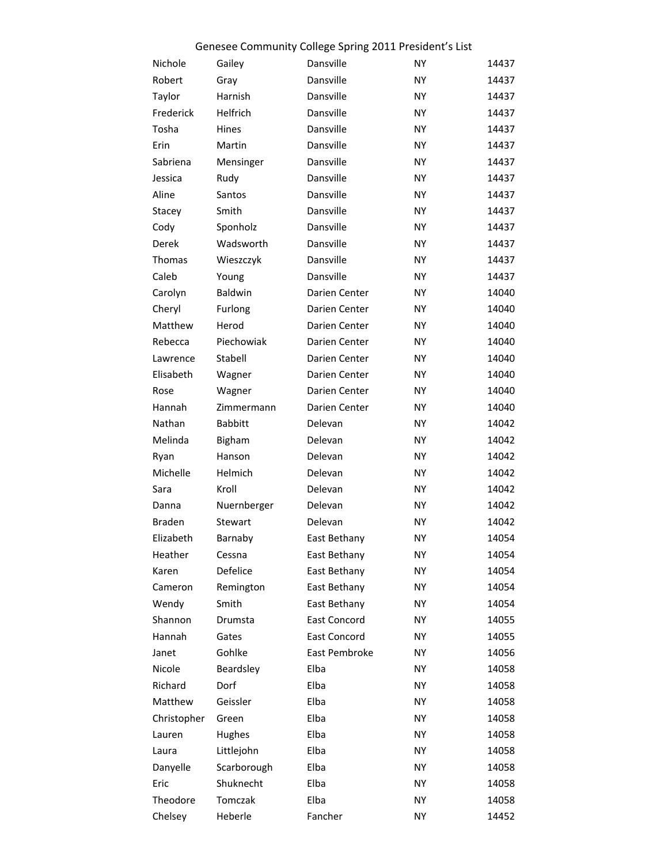|               | Genesee Community College Spring 2011 President's List |               |           |       |  |  |
|---------------|--------------------------------------------------------|---------------|-----------|-------|--|--|
| Nichole       | Gailey                                                 | Dansville     | <b>NY</b> | 14437 |  |  |
| Robert        | Gray                                                   | Dansville     | <b>NY</b> | 14437 |  |  |
| Taylor        | Harnish                                                | Dansville     | <b>NY</b> | 14437 |  |  |
| Frederick     | Helfrich                                               | Dansville     | <b>NY</b> | 14437 |  |  |
| Tosha         | Hines                                                  | Dansville     | <b>NY</b> | 14437 |  |  |
| Erin          | Martin                                                 | Dansville     | <b>NY</b> | 14437 |  |  |
| Sabriena      | Mensinger                                              | Dansville     | <b>NY</b> | 14437 |  |  |
| Jessica       | Rudy                                                   | Dansville     | <b>NY</b> | 14437 |  |  |
| Aline         | Santos                                                 | Dansville     | <b>NY</b> | 14437 |  |  |
| Stacey        | Smith                                                  | Dansville     | <b>NY</b> | 14437 |  |  |
| Cody          | Sponholz                                               | Dansville     | <b>NY</b> | 14437 |  |  |
| Derek         | Wadsworth                                              | Dansville     | <b>NY</b> | 14437 |  |  |
| Thomas        | Wieszczyk                                              | Dansville     | <b>NY</b> | 14437 |  |  |
| Caleb         | Young                                                  | Dansville     | <b>NY</b> | 14437 |  |  |
| Carolyn       | Baldwin                                                | Darien Center | <b>NY</b> | 14040 |  |  |
| Cheryl        | Furlong                                                | Darien Center | <b>NY</b> | 14040 |  |  |
| Matthew       | Herod                                                  | Darien Center | <b>NY</b> | 14040 |  |  |
| Rebecca       | Piechowiak                                             | Darien Center | <b>NY</b> | 14040 |  |  |
| Lawrence      | Stabell                                                | Darien Center | <b>NY</b> | 14040 |  |  |
| Elisabeth     | Wagner                                                 | Darien Center | <b>NY</b> | 14040 |  |  |
| Rose          | Wagner                                                 | Darien Center | <b>NY</b> | 14040 |  |  |
| Hannah        | Zimmermann                                             | Darien Center | <b>NY</b> | 14040 |  |  |
| Nathan        | <b>Babbitt</b>                                         | Delevan       | <b>NY</b> | 14042 |  |  |
| Melinda       | Bigham                                                 | Delevan       | <b>NY</b> | 14042 |  |  |
| Ryan          | Hanson                                                 | Delevan       | <b>NY</b> | 14042 |  |  |
| Michelle      | Helmich                                                | Delevan       | <b>NY</b> | 14042 |  |  |
| Sara          | Kroll                                                  | Delevan       | <b>NY</b> | 14042 |  |  |
| Danna         | Nuernberger                                            | Delevan       | <b>NY</b> | 14042 |  |  |
| <b>Braden</b> | Stewart                                                | Delevan       | <b>NY</b> | 14042 |  |  |
| Elizabeth     | Barnaby                                                | East Bethany  | ΝY        | 14054 |  |  |
| Heather       | Cessna                                                 | East Bethany  | NY        | 14054 |  |  |
| Karen         | Defelice                                               | East Bethany  | <b>NY</b> | 14054 |  |  |
| Cameron       | Remington                                              | East Bethany  | <b>NY</b> | 14054 |  |  |
| Wendy         | Smith                                                  | East Bethany  | <b>NY</b> | 14054 |  |  |
| Shannon       | Drumsta                                                | East Concord  | <b>NY</b> | 14055 |  |  |
| Hannah        | Gates                                                  | East Concord  | <b>NY</b> | 14055 |  |  |
| Janet         | Gohlke                                                 | East Pembroke | <b>NY</b> | 14056 |  |  |
| Nicole        | Beardsley                                              | Elba          | <b>NY</b> | 14058 |  |  |
| Richard       | Dorf                                                   | Elba          | <b>NY</b> | 14058 |  |  |
| Matthew       | Geissler                                               | Elba          | <b>NY</b> | 14058 |  |  |
| Christopher   | Green                                                  | Elba          | <b>NY</b> | 14058 |  |  |
| Lauren        | Hughes                                                 | Elba          | <b>NY</b> | 14058 |  |  |
| Laura         | Littlejohn                                             | Elba          | <b>NY</b> | 14058 |  |  |
| Danyelle      | Scarborough                                            | Elba          | <b>NY</b> | 14058 |  |  |
| Eric          | Shuknecht                                              | Elba          | <b>NY</b> | 14058 |  |  |
| Theodore      | Tomczak                                                | Elba          | <b>NY</b> | 14058 |  |  |
| Chelsey       | Heberle                                                | Fancher       | <b>NY</b> | 14452 |  |  |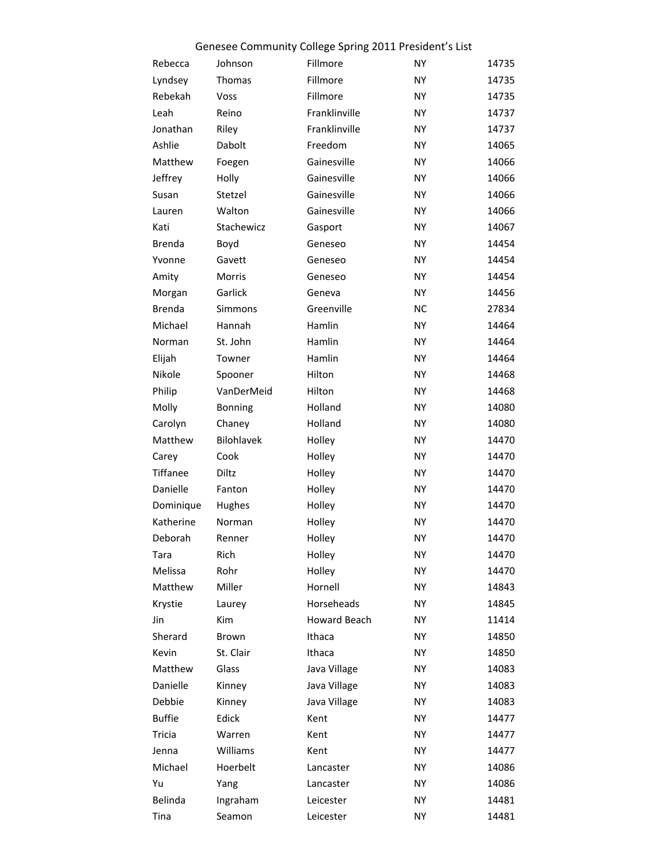| Rebecca       | Johnson        | Fillmore      | <b>NY</b> | 14735 |
|---------------|----------------|---------------|-----------|-------|
| Lyndsey       | Thomas         | Fillmore      | <b>NY</b> | 14735 |
| Rebekah       | Voss           | Fillmore      | <b>NY</b> | 14735 |
| Leah          | Reino          | Franklinville | <b>NY</b> | 14737 |
| Jonathan      | Riley          | Franklinville | <b>NY</b> | 14737 |
| Ashlie        | Dabolt         | Freedom       | <b>NY</b> | 14065 |
| Matthew       | Foegen         | Gainesville   | <b>NY</b> | 14066 |
| Jeffrey       | Holly          | Gainesville   | <b>NY</b> | 14066 |
| Susan         | Stetzel        | Gainesville   | <b>NY</b> | 14066 |
| Lauren        | Walton         | Gainesville   | <b>NY</b> | 14066 |
| Kati          | Stachewicz     | Gasport       | <b>NY</b> | 14067 |
| <b>Brenda</b> | Boyd           | Geneseo       | <b>NY</b> | 14454 |
| Yvonne        | Gavett         | Geneseo       | <b>NY</b> | 14454 |
| Amity         | Morris         | Geneseo       | <b>NY</b> | 14454 |
| Morgan        | Garlick        | Geneva        | <b>NY</b> | 14456 |
| <b>Brenda</b> | Simmons        | Greenville    | <b>NC</b> | 27834 |
| Michael       | Hannah         | Hamlin        | <b>NY</b> | 14464 |
| Norman        | St. John       | Hamlin        | <b>NY</b> | 14464 |
| Elijah        | Towner         | Hamlin        | <b>NY</b> | 14464 |
| Nikole        | Spooner        | Hilton        | <b>NY</b> | 14468 |
| Philip        | VanDerMeid     | Hilton        | <b>NY</b> | 14468 |
| Molly         | <b>Bonning</b> | Holland       | <b>NY</b> | 14080 |
| Carolyn       | Chaney         | Holland       | <b>NY</b> | 14080 |
| Matthew       | Bilohlavek     | Holley        | <b>NY</b> | 14470 |
| Carey         | Cook           | Holley        | NY        | 14470 |
| Tiffanee      | Diltz          | Holley        | <b>NY</b> | 14470 |
| Danielle      | Fanton         | Holley        | <b>NY</b> | 14470 |
| Dominique     | Hughes         | Holley        | NY        | 14470 |
| Katherine     | Norman         | Holley        | <b>NY</b> | 14470 |
| Deborah       | Renner         | Holley        | <b>NY</b> | 14470 |
| Tara          | Rich           | Holley        | <b>NY</b> | 14470 |
| Melissa       | Rohr           | Holley        | NY        | 14470 |
| Matthew       | Miller         | Hornell       | NY        | 14843 |
| Krystie       | Laurey         | Horseheads    | NY        | 14845 |
| Jin           | <b>Kim</b>     | Howard Beach  | NY        | 11414 |
| Sherard       | Brown          | Ithaca        | NY        | 14850 |
| Kevin         | St. Clair      | Ithaca        | NY        | 14850 |
| Matthew       | Glass          | Java Village  | NΥ        | 14083 |
| Danielle      | Kinney         | Java Village  | NY        | 14083 |
| Debbie        | Kinney         | Java Village  | NΥ        | 14083 |
| <b>Buffie</b> | Edick          | Kent          | NY        | 14477 |
| Tricia        | Warren         | Kent          | NY        | 14477 |
| Jenna         | Williams       | Kent          | NY        | 14477 |
| Michael       | Hoerbelt       | Lancaster     | NY        | 14086 |
| Yu            | Yang           | Lancaster     | NY        | 14086 |
| Belinda       | Ingraham       | Leicester     | NY.       | 14481 |
| Tina          | Seamon         | Leicester     | NY        | 14481 |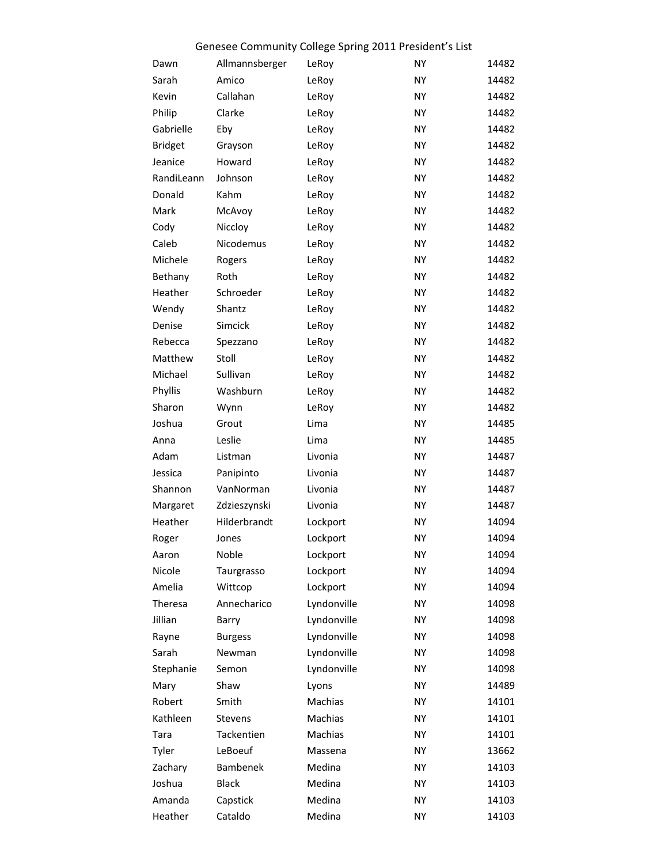|                |                | Genesee Community College Spring 2011 President's List |           |       |
|----------------|----------------|--------------------------------------------------------|-----------|-------|
| Dawn           | Allmannsberger | LeRoy                                                  | <b>NY</b> | 14482 |
| Sarah          | Amico          | LeRoy                                                  | <b>NY</b> | 14482 |
| Kevin          | Callahan       | LeRoy                                                  | <b>NY</b> | 14482 |
| Philip         | Clarke         | LeRoy                                                  | NY        | 14482 |
| Gabrielle      | Eby            | LeRoy                                                  | NY        | 14482 |
| <b>Bridget</b> | Grayson        | LeRoy                                                  | NY        | 14482 |
| Jeanice        | Howard         | LeRoy                                                  | NY        | 14482 |
| RandiLeann     | Johnson        | LeRoy                                                  | NY        | 14482 |
| Donald         | Kahm           | LeRoy                                                  | NY        | 14482 |
| Mark           | McAvoy         | LeRoy                                                  | NY        | 14482 |
| Cody           | Niccloy        | LeRoy                                                  | NY        | 14482 |
| Caleb          | Nicodemus      | LeRoy                                                  | NY        | 14482 |
| Michele        | Rogers         | LeRoy                                                  | NY        | 14482 |
| Bethany        | Roth           | LeRoy                                                  | NY        | 14482 |
| Heather        | Schroeder      | LeRoy                                                  | NY        | 14482 |
| Wendy          | Shantz         | LeRoy                                                  | NY        | 14482 |
| Denise         | Simcick        | LeRoy                                                  | NY        | 14482 |
| Rebecca        | Spezzano       | LeRoy                                                  | NY        | 14482 |
| Matthew        | Stoll          | LeRoy                                                  | NY        | 14482 |
| Michael        | Sullivan       |                                                        | NY        | 14482 |
|                |                | LeRoy                                                  |           |       |
| Phyllis        | Washburn       | LeRoy                                                  | NY        | 14482 |
| Sharon         | Wynn           | LeRoy                                                  | NY        | 14482 |
| Joshua         | Grout          | Lima                                                   | NY        | 14485 |
| Anna           | Leslie         | Lima                                                   | NY        | 14485 |
| Adam           | Listman        | Livonia                                                | NY        | 14487 |
| Jessica        | Panipinto      | Livonia                                                | NY        | 14487 |
| Shannon        | VanNorman      | Livonia                                                | NY        | 14487 |
| Margaret       | Zdzieszynski   | Livonia                                                | <b>NY</b> | 14487 |
| Heather        | Hilderbrandt   | Lockport                                               | <b>NY</b> | 14094 |
| Roger          | Jones          | Lockport                                               | <b>NY</b> | 14094 |
| Aaron          | Noble          | Lockport                                               | <b>NY</b> | 14094 |
| Nicole         | Taurgrasso     | Lockport                                               | <b>NY</b> | 14094 |
| Amelia         | Wittcop        | Lockport                                               | <b>NY</b> | 14094 |
| Theresa        | Annecharico    | Lyndonville                                            | <b>NY</b> | 14098 |
| Jillian        | Barry          | Lyndonville                                            | <b>NY</b> | 14098 |
| Rayne          | <b>Burgess</b> | Lyndonville                                            | <b>NY</b> | 14098 |
| Sarah          | Newman         | Lyndonville                                            | <b>NY</b> | 14098 |
| Stephanie      | Semon          | Lyndonville                                            | <b>NY</b> | 14098 |
| Mary           | Shaw           | Lyons                                                  | <b>NY</b> | 14489 |
| Robert         | Smith          | Machias                                                | NY        | 14101 |
| Kathleen       | Stevens        | Machias                                                | <b>NY</b> | 14101 |
| Tara           | Tackentien     | Machias                                                | <b>NY</b> | 14101 |
| Tyler          | LeBoeuf        | Massena                                                | <b>NY</b> | 13662 |
| Zachary        | Bambenek       | Medina                                                 | <b>NY</b> | 14103 |
| Joshua         | <b>Black</b>   | Medina                                                 | <b>NY</b> | 14103 |
| Amanda         | Capstick       | Medina                                                 | <b>NY</b> | 14103 |
| Heather        | Cataldo        | Medina                                                 | <b>NY</b> | 14103 |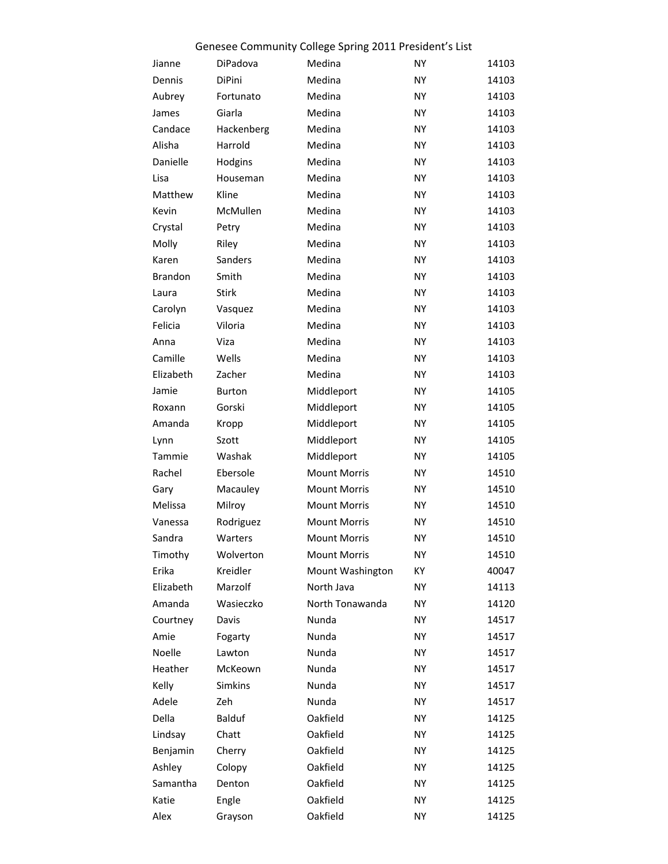|                |               | Genesee Community College Spring 2011 President's List |           |       |
|----------------|---------------|--------------------------------------------------------|-----------|-------|
| Jianne         | DiPadova      | Medina                                                 | <b>NY</b> | 14103 |
| Dennis         | <b>DiPini</b> | Medina                                                 | <b>NY</b> | 14103 |
| Aubrey         | Fortunato     | Medina                                                 | <b>NY</b> | 14103 |
| James          | Giarla        | Medina                                                 | <b>NY</b> | 14103 |
| Candace        | Hackenberg    | Medina                                                 | <b>NY</b> | 14103 |
| Alisha         | Harrold       | Medina                                                 | <b>NY</b> | 14103 |
| Danielle       | Hodgins       | Medina                                                 | <b>NY</b> | 14103 |
| Lisa           | Houseman      | Medina                                                 | <b>NY</b> | 14103 |
| Matthew        | Kline         | Medina                                                 | NY        | 14103 |
| Kevin          | McMullen      | Medina                                                 | <b>NY</b> | 14103 |
| Crystal        | Petry         | Medina                                                 | <b>NY</b> | 14103 |
| Molly          | Riley         | Medina                                                 | <b>NY</b> | 14103 |
| Karen          | Sanders       | Medina                                                 | NY        | 14103 |
| <b>Brandon</b> | Smith         | Medina                                                 | <b>NY</b> | 14103 |
| Laura          | <b>Stirk</b>  | Medina                                                 | <b>NY</b> | 14103 |
| Carolyn        | Vasquez       | Medina                                                 | <b>NY</b> | 14103 |
| Felicia        | Viloria       | Medina                                                 | NY        | 14103 |
| Anna           | Viza          | Medina                                                 | <b>NY</b> | 14103 |
| Camille        | Wells         | Medina                                                 | <b>NY</b> | 14103 |
| Elizabeth      | Zacher        | Medina                                                 | <b>NY</b> | 14103 |
| Jamie          | <b>Burton</b> | Middleport                                             | NY        | 14105 |
| Roxann         | Gorski        | Middleport                                             | NY        | 14105 |
| Amanda         | Kropp         | Middleport                                             | NY        | 14105 |
| Lynn           | Szott         | Middleport                                             | NY        | 14105 |
| Tammie         | Washak        | Middleport                                             | NY        | 14105 |
| Rachel         | Ebersole      | <b>Mount Morris</b>                                    | NY        | 14510 |
| Gary           | Macauley      | <b>Mount Morris</b>                                    | NY        | 14510 |
| Melissa        | Milroy        | <b>Mount Morris</b>                                    | NY        | 14510 |
| Vanessa        | Rodriguez     | <b>Mount Morris</b>                                    | NΥ        | 14510 |
| Sandra         | Warters       | <b>Mount Morris</b>                                    | NY        | 14510 |
| Timothy        | Wolverton     | <b>Mount Morris</b>                                    | NY        | 14510 |
| Erika          | Kreidler      | Mount Washington                                       | КY        | 40047 |
| Elizabeth      | Marzolf       | North Java                                             | NY        | 14113 |
| Amanda         | Wasieczko     | North Tonawanda                                        | NY        | 14120 |
| Courtney       | Davis         | Nunda                                                  | NY        | 14517 |
| Amie           | Fogarty       | Nunda                                                  | NY        | 14517 |
| Noelle         | Lawton        | Nunda                                                  | NY        | 14517 |
| Heather        | McKeown       | Nunda                                                  | NY        | 14517 |
| Kelly          | Simkins       | Nunda                                                  | NY        | 14517 |
| Adele          | Zeh           | Nunda                                                  | NY        | 14517 |
| Della          | Balduf        | Oakfield                                               | NY        | 14125 |
| Lindsay        | Chatt         | Oakfield                                               | NY        | 14125 |
| Benjamin       | Cherry        | Oakfield                                               | NY        | 14125 |
| Ashley         | Colopy        | Oakfield                                               | NY        | 14125 |
| Samantha       | Denton        | Oakfield                                               | NY        | 14125 |
| Katie          | Engle         | Oakfield                                               | NY        | 14125 |
| Alex           | Grayson       | Oakfield                                               | NY        | 14125 |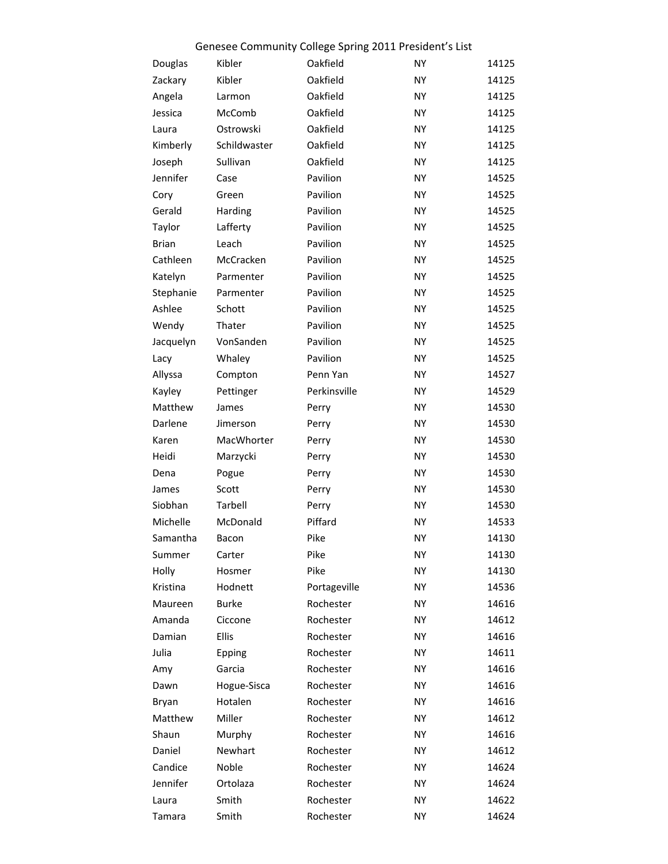|              |              | Genesee Community College Spring 2011 President's List |           |       |
|--------------|--------------|--------------------------------------------------------|-----------|-------|
| Douglas      | Kibler       | Oakfield                                               | NY        | 14125 |
| Zackary      | Kibler       | Oakfield                                               | <b>NY</b> | 14125 |
| Angela       | Larmon       | Oakfield                                               | <b>NY</b> | 14125 |
| Jessica      | McComb       | Oakfield                                               | NY        | 14125 |
| Laura        | Ostrowski    | Oakfield                                               | NY        | 14125 |
| Kimberly     | Schildwaster | Oakfield                                               | NY        | 14125 |
| Joseph       | Sullivan     | Oakfield                                               | <b>NY</b> | 14125 |
| Jennifer     | Case         | Pavilion                                               | NY        | 14525 |
| Cory         | Green        | Pavilion                                               | NY        | 14525 |
| Gerald       | Harding      | Pavilion                                               | NY        | 14525 |
| Taylor       | Lafferty     | Pavilion                                               | <b>NY</b> | 14525 |
| <b>Brian</b> | Leach        | Pavilion                                               | NY        | 14525 |
| Cathleen     | McCracken    | Pavilion                                               | NY        | 14525 |
| Katelyn      | Parmenter    | Pavilion                                               | NY        | 14525 |
| Stephanie    | Parmenter    | Pavilion                                               | <b>NY</b> | 14525 |
| Ashlee       | Schott       | Pavilion                                               | NY        | 14525 |
| Wendy        | Thater       | Pavilion                                               | NY        | 14525 |
| Jacquelyn    | VonSanden    | Pavilion                                               | NY        | 14525 |
| Lacy         | Whaley       | Pavilion                                               | <b>NY</b> | 14525 |
| Allyssa      | Compton      | Penn Yan                                               | NY        | 14527 |
| Kayley       | Pettinger    | Perkinsville                                           | NY        | 14529 |
| Matthew      | James        | Perry                                                  | NY        | 14530 |
| Darlene      | Jimerson     | Perry                                                  | <b>NY</b> | 14530 |
| Karen        | MacWhorter   | Perry                                                  | NY        | 14530 |
| Heidi        | Marzycki     | Perry                                                  | <b>NY</b> | 14530 |
| Dena         | Pogue        | Perry                                                  | NY        | 14530 |
| James        | Scott        | Perry                                                  | <b>NY</b> | 14530 |
| Siobhan      | Tarbell      | Perry                                                  | NY        | 14530 |
| Michelle     | McDonald     | Piffard                                                | <b>NY</b> | 14533 |
| Samantha     | Bacon        | Pike                                                   | NY        | 14130 |
| Summer       | Carter       | Pike                                                   | <b>NY</b> | 14130 |
| Holly        | Hosmer       | Pike                                                   | <b>NY</b> | 14130 |
| Kristina     | Hodnett      | Portageville                                           | NY        | 14536 |
| Maureen      | <b>Burke</b> | Rochester                                              | <b>NY</b> | 14616 |
| Amanda       | Ciccone      | Rochester                                              | <b>NY</b> | 14612 |
| Damian       | Ellis        | Rochester                                              | NY        | 14616 |
| Julia        | Epping       | Rochester                                              | NY        | 14611 |
| Amy          | Garcia       | Rochester                                              | NY        | 14616 |
| Dawn         | Hogue-Sisca  | Rochester                                              | <b>NY</b> | 14616 |
| Bryan        | Hotalen      | Rochester                                              | NY        | 14616 |
| Matthew      | Miller       | Rochester                                              | NY        | 14612 |
| Shaun        | Murphy       | Rochester                                              | NY        | 14616 |
| Daniel       | Newhart      | Rochester                                              | <b>NY</b> | 14612 |
| Candice      | Noble        | Rochester                                              | NY        | 14624 |
| Jennifer     | Ortolaza     | Rochester                                              | <b>NY</b> | 14624 |
| Laura        | Smith        | Rochester                                              | <b>NY</b> | 14622 |
| Tamara       | Smith        | Rochester                                              | <b>NY</b> | 14624 |
|              |              |                                                        |           |       |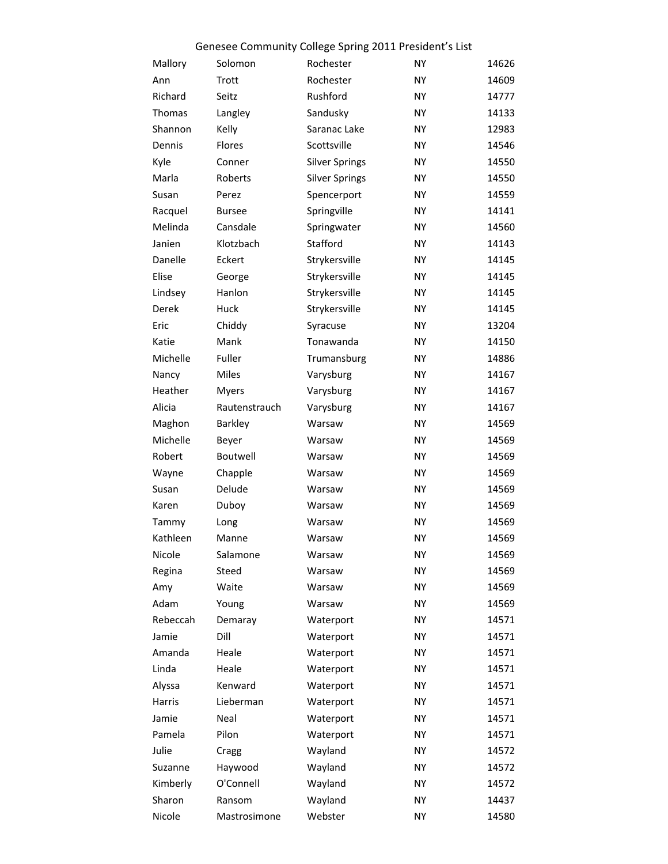## Genesee Community College Spring 2011 President's List

| Mallory       | Solomon       | Rochester             | NY | 14626 |
|---------------|---------------|-----------------------|----|-------|
| Ann           | Trott         | Rochester             | NY | 14609 |
| Richard       | Seitz         | Rushford              | NY | 14777 |
| <b>Thomas</b> | Langley       | Sandusky              | NY | 14133 |
| Shannon       | Kelly         | Saranac Lake          | NY | 12983 |
| Dennis        | Flores        | Scottsville           | NY | 14546 |
| Kyle          | Conner        | <b>Silver Springs</b> | NY | 14550 |
| Marla         | Roberts       | <b>Silver Springs</b> | NY | 14550 |
| Susan         | Perez         | Spencerport           | NY | 14559 |
| Racquel       | <b>Bursee</b> | Springville           | NY | 14141 |
| Melinda       | Cansdale      | Springwater           | NY | 14560 |
| Janien        | Klotzbach     | Stafford              | NY | 14143 |
| Danelle       | Eckert        | Strykersville         | NY | 14145 |
| Elise         | George        | Strykersville         | NY | 14145 |
| Lindsey       | Hanlon        | Strykersville         | NY | 14145 |
| Derek         | Huck          | Strykersville         | NY | 14145 |
| Eric          | Chiddy        | Syracuse              | NY | 13204 |
| Katie         | Mank          | Tonawanda             | NY | 14150 |
| Michelle      | Fuller        | Trumansburg           | NY | 14886 |
| Nancy         | Miles         | Varysburg             | NY | 14167 |
| Heather       | <b>Myers</b>  | Varysburg             | NY | 14167 |
| Alicia        | Rautenstrauch | Varysburg             | NY | 14167 |
| Maghon        | Barkley       | Warsaw                | NY | 14569 |
| Michelle      | Beyer         | Warsaw                | NY | 14569 |
| Robert        | Boutwell      | Warsaw                | NY | 14569 |
| Wayne         | Chapple       | Warsaw                | NY | 14569 |
| Susan         | Delude        | Warsaw                | NY | 14569 |
| Karen         | Duboy         | Warsaw                | NY | 14569 |
| Tammy         | Long          | Warsaw                | NY | 14569 |
| Kathleen      | Manne         | Warsaw                | NY | 14569 |
| Nicole        | Salamone      | Warsaw                | NY | 14569 |
| Regina        | Steed         | Warsaw                | NY | 14569 |
| Amy           | Waite         | Warsaw                | NY | 14569 |
| Adam          | Young         | Warsaw                | NY | 14569 |
| Rebeccah      | Demaray       | Waterport             | NY | 14571 |
| Jamie         | Dill          | Waterport             | NY | 14571 |
| Amanda        | Heale         | Waterport             | NY | 14571 |
| Linda         | Heale         | Waterport             | NY | 14571 |
| Alyssa        | Kenward       | Waterport             | NY | 14571 |
| Harris        | Lieberman     | Waterport             | NY | 14571 |
| Jamie         | Neal          | Waterport             | NY | 14571 |
| Pamela        | Pilon         | Waterport             | NY | 14571 |
| Julie         | Cragg         | Wayland               | NY | 14572 |
| Suzanne       | Haywood       | Wayland               | NY | 14572 |
| Kimberly      | O'Connell     | Wayland               | NY | 14572 |
| Sharon        | Ransom        | Wayland               | NY | 14437 |
| Nicole        | Mastrosimone  | Webster               | NY | 14580 |